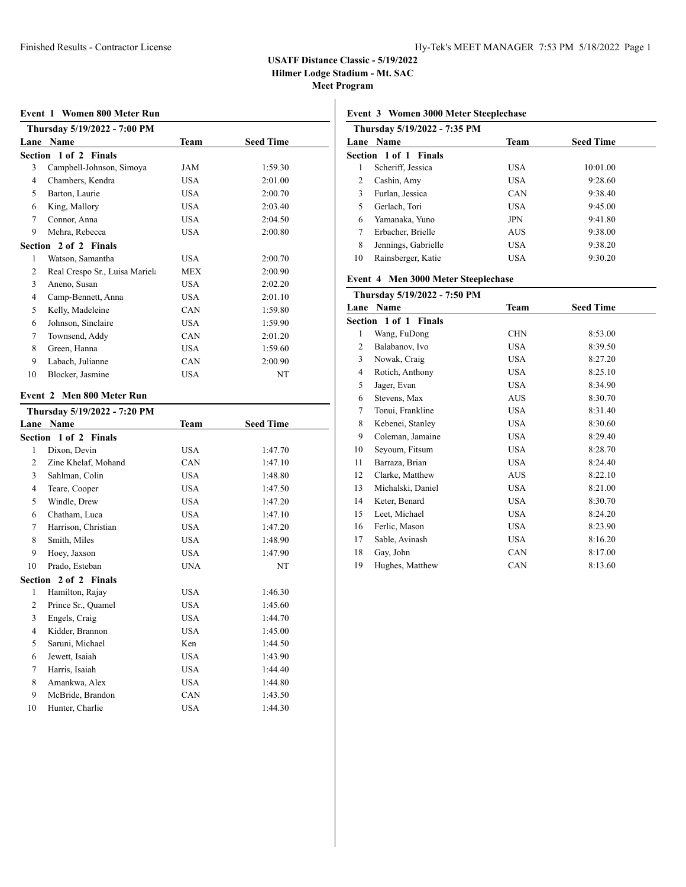# **USATF Distance Classic - 5/19/2022**

**Hilmer Lodge Stadium - Mt. SAC**

**Meet Program**

#### **Event 1 Women 800 Meter Run**

|      | Thursday 5/19/2022 - 7:00 PM   |            |                  |  |  |  |
|------|--------------------------------|------------|------------------|--|--|--|
| Lane | Name                           | Team       | <b>Seed Time</b> |  |  |  |
|      | Section 1 of 2 Finals          |            |                  |  |  |  |
| 3    | Campbell-Johnson, Simoya       | JAM        | 1:59.30          |  |  |  |
| 4    | Chambers, Kendra               | USA        | 2:01.00          |  |  |  |
| 5    | Barton, Laurie                 | USA        | 2:00.70          |  |  |  |
| 6    | King, Mallory                  | USA        | 2:03.40          |  |  |  |
| 7    | Connor, Anna                   | USA        | 2:04.50          |  |  |  |
| 9    | Mehra, Rebecca                 | <b>USA</b> | 2:00.80          |  |  |  |
|      | Section 2 of 2 Finals          |            |                  |  |  |  |
| 1    | Watson, Samantha               | USA        | 2:00.70          |  |  |  |
| 2    | Real Crespo Sr., Luisa Mariel: | MEX        | 2:00.90          |  |  |  |
| 3    | Aneno, Susan                   | USA        | 2:02.20          |  |  |  |
| 4    | Camp-Bennett, Anna             | <b>USA</b> | 2:01.10          |  |  |  |
| 5    | Kelly, Madeleine               | CAN        | 1:59.80          |  |  |  |
| 6    | Johnson, Sinclaire             | USA        | 1:59.90          |  |  |  |
| 7    | Townsend, Addy                 | CAN        | 2:01.20          |  |  |  |
| 8    | Green, Hanna                   | <b>USA</b> | 1:59.60          |  |  |  |
| 9    | Labach, Julianne               | CAN        | 2:00.90          |  |  |  |
| 10   | Blocker, Jasmine               | <b>USA</b> | NT               |  |  |  |
|      |                                |            |                  |  |  |  |

#### **Event 2 Men 800 Meter Run**

|                | Thursday 5/19/2022 - 7:20 PM |            |                  |  |  |
|----------------|------------------------------|------------|------------------|--|--|
|                | Lane Name                    | Team       | <b>Seed Time</b> |  |  |
|                | Section 1 of 2 Finals        |            |                  |  |  |
| 1              | Dixon, Devin                 | USA        | 1:47.70          |  |  |
| 2              | Zine Khelaf, Mohand          | CAN        | 1:47.10          |  |  |
| $\overline{3}$ | Sahlman, Colin               | <b>USA</b> | 1:48.80          |  |  |
| $\overline{4}$ | Teare, Cooper                | <b>USA</b> | 1:47.50          |  |  |
| 5              | Windle, Drew                 | <b>USA</b> | 1:47.20          |  |  |
| 6              | Chatham, Luca                | <b>USA</b> | 1:47.10          |  |  |
| 7              | Harrison, Christian          | <b>USA</b> | 1:47.20          |  |  |
| 8              | Smith, Miles                 | USA        | 1:48.90          |  |  |
| 9              | Hoey, Jaxson                 | <b>USA</b> | 1:47.90          |  |  |
| 10             | Prado, Esteban               | <b>UNA</b> | NT               |  |  |
|                | Section 2 of 2 Finals        |            |                  |  |  |
| 1              | Hamilton, Rajay              | <b>USA</b> | 1:46.30          |  |  |
| 2              | Prince Sr., Quamel           | <b>USA</b> | 1:45.60          |  |  |
| 3              | Engels, Craig                | <b>USA</b> | 1:44.70          |  |  |
| 4              | Kidder, Brannon              | USA        | 1:45.00          |  |  |
| 5              | Saruni, Michael              | Ken        | 1:44.50          |  |  |
| 6              | Jewett, Isaiah               | <b>USA</b> | 1:43.90          |  |  |
| 7              | Harris, Isaiah               | <b>USA</b> | 1:44.40          |  |  |
| 8              | Amankwa, Alex                | <b>USA</b> | 1:44.80          |  |  |
| 9              | McBride, Brandon             | CAN        | 1:43.50          |  |  |
| 10             | Hunter, Charlie              | USA        | 1:44.30          |  |  |

## **Event 3 Women 3000 Meter Steeplechase**

|    | Thursday 5/19/2022 - 7:35 PM |            |                  |  |  |  |
|----|------------------------------|------------|------------------|--|--|--|
|    | Lane Name                    | Team       | <b>Seed Time</b> |  |  |  |
|    | Section 1 of 1 Finals        |            |                  |  |  |  |
| 1  | Scheriff, Jessica            | <b>USA</b> | 10:01.00         |  |  |  |
| 2  | Cashin, Amy                  | <b>USA</b> | 9:28.60          |  |  |  |
| 3  | Furlan, Jessica              | <b>CAN</b> | 9:38.40          |  |  |  |
| 5  | Gerlach, Tori                | <b>USA</b> | 9:45.00          |  |  |  |
| 6  | Yamanaka, Yuno               | <b>JPN</b> | 9:41.80          |  |  |  |
| 7  | Erbacher, Brielle            | <b>AUS</b> | 9:38.00          |  |  |  |
| 8  | Jennings, Gabrielle          | <b>USA</b> | 9:38.20          |  |  |  |
| 10 | Rainsberger, Katie           | USA        | 9:30.20          |  |  |  |

# **Event 4 Men 3000 Meter Steeplechase**

|      | Thursday 5/19/2022 - 7:50 PM |            |                  |
|------|------------------------------|------------|------------------|
| Lane | <b>Name</b>                  | Team       | <b>Seed Time</b> |
|      | Section 1 of 1 Finals        |            |                  |
| 1    | Wang, FuDong                 | <b>CHN</b> | 8:53.00          |
| 2    | Balabanov, Ivo               | <b>USA</b> | 8:39.50          |
| 3    | Nowak, Craig                 | <b>USA</b> | 8:27.20          |
| 4    | Rotich, Anthony              | USA        | 8:25.10          |
| 5    | Jager, Evan                  | <b>USA</b> | 8:34.90          |
| 6    | Stevens, Max                 | <b>AUS</b> | 8:30.70          |
| 7    | Tonui, Frankline             | <b>USA</b> | 8:31.40          |
| 8    | Kebenei, Stanley             | <b>USA</b> | 8:30.60          |
| 9    | Coleman, Jamaine             | <b>USA</b> | 8:29.40          |
| 10   | Seyoum, Fitsum               | <b>USA</b> | 8:28.70          |
| 11   | Barraza, Brian               | <b>USA</b> | 8:24.40          |
| 12   | Clarke, Matthew              | AUS        | 8:22.10          |
| 13   | Michalski, Daniel            | <b>USA</b> | 8:21.00          |
| 14   | Keter, Benard                | USA        | 8:30.70          |
| 15   | Leet, Michael                | <b>USA</b> | 8:24.20          |
| 16   | Ferlic, Mason                | USA.       | 8:23.90          |
| 17   | Sable, Avinash               | <b>USA</b> | 8:16.20          |
| 18   | Gay, John                    | CAN        | 8:17.00          |
| 19   | Hughes, Matthew              | CAN        | 8:13.60          |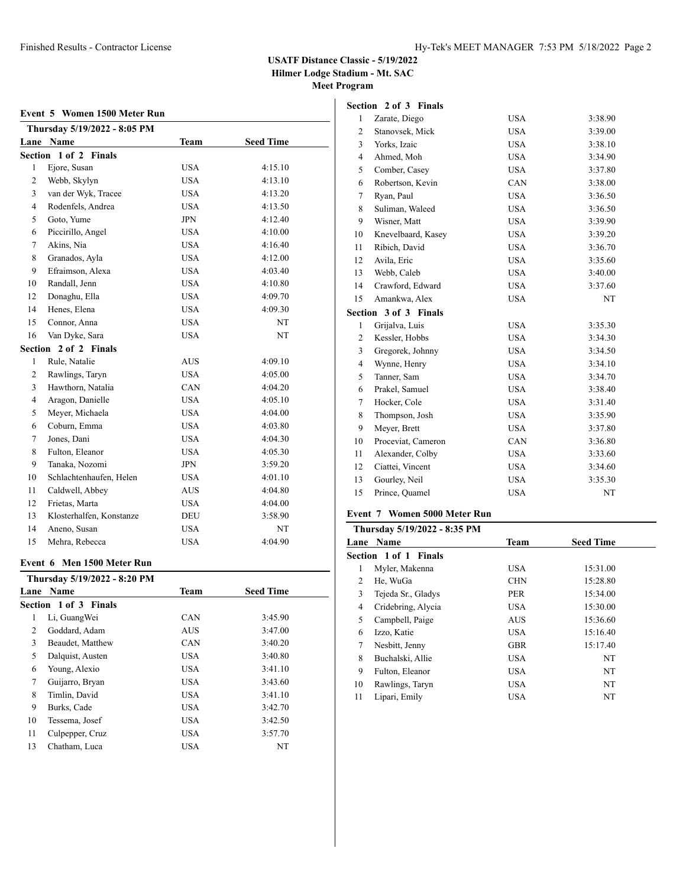## **USATF Distance Classic - 5/19/2022**

**Hilmer Lodge Stadium - Mt. SAC**

**Meet Program**

#### **Event 5 Women 1500 Meter Run**

|                | Thursday 5/19/2022 - 8:05 PM |             |                  |
|----------------|------------------------------|-------------|------------------|
| Lane           | Name                         | <b>Team</b> | <b>Seed Time</b> |
|                | Section 1 of 2 Finals        |             |                  |
| $\mathbf{1}$   | Ejore, Susan                 | <b>USA</b>  | 4:15.10          |
| $\overline{c}$ | Webb, Skylyn                 | <b>USA</b>  | 4:13.10          |
| 3              | van der Wyk, Tracee          | <b>USA</b>  | 4:13.20          |
| $\overline{4}$ | Rodenfels, Andrea            | <b>USA</b>  | 4:13.50          |
| 5              | Goto, Yume                   | <b>JPN</b>  | 4:12.40          |
| 6              | Piccirillo, Angel            | USA         | 4:10.00          |
| 7              | Akins, Nia                   | <b>USA</b>  | 4:16.40          |
| 8              | Granados, Ayla               | <b>USA</b>  | 4:12.00          |
| 9              | Efraimson, Alexa             | <b>USA</b>  | 4:03.40          |
| 10             | Randall, Jenn                | <b>USA</b>  | 4:10.80          |
| 12             | Donaghu, Ella                | <b>USA</b>  | 4:09.70          |
| 14             | Henes, Elena                 | <b>USA</b>  | 4:09.30          |
| 15             | Connor, Anna                 | <b>USA</b>  | NT               |
| 16             | Van Dyke, Sara               | <b>USA</b>  | NT               |
|                | Section 2 of 2 Finals        |             |                  |
| $\mathbf{1}$   | Rule, Natalie                | <b>AUS</b>  | 4:09.10          |
| $\mathfrak{2}$ | Rawlings, Taryn              | <b>USA</b>  | 4:05.00          |
| 3              | Hawthorn, Natalia            | CAN         | 4:04.20          |
| $\overline{4}$ | Aragon, Danielle             | <b>USA</b>  | 4:05.10          |
| 5              | Meyer, Michaela              | <b>USA</b>  | 4:04.00          |
| 6              | Coburn, Emma                 | <b>USA</b>  | 4:03.80          |
| 7              | Jones, Dani                  | <b>USA</b>  | 4:04.30          |
| 8              | Fulton, Eleanor              | <b>USA</b>  | 4:05.30          |
| 9              | Tanaka, Nozomi               | JPN         | 3:59.20          |
| 10             | Schlachtenhaufen, Helen      | <b>USA</b>  | 4:01.10          |
| 11             | Caldwell, Abbey              | <b>AUS</b>  | 4:04.80          |
| 12             | Frietas, Marta               | <b>USA</b>  | 4:04.00          |
| 13             | Klosterhalfen, Konstanze     | <b>DEU</b>  | 3:58.90          |
| 14             | Aneno, Susan                 | <b>USA</b>  | NT               |
| 15             | Mehra, Rebecca               | <b>USA</b>  | 4:04.90          |
|                |                              |             |                  |

### **Event 6 Men 1500 Meter Run**

|    | Thursday 5/19/2022 - 8:20 PM |            |                  |  |
|----|------------------------------|------------|------------------|--|
|    | <b>Lane Name</b>             | Team       | <b>Seed Time</b> |  |
|    | <b>Section 1 of 3 Finals</b> |            |                  |  |
| 1  | Li, Guang Wei                | <b>CAN</b> | 3:45.90          |  |
| 2  | Goddard, Adam                | <b>AUS</b> | 3:47.00          |  |
| 3  | Beaudet, Matthew             | <b>CAN</b> | 3:40.20          |  |
| 5  | Dalquist, Austen             | USA        | 3:40.80          |  |
| 6  | Young, Alexio                | USA        | 3:41.10          |  |
| 7  | Guijarro, Bryan              | USA        | 3:43.60          |  |
| 8  | Timlin, David                | USA        | 3:41.10          |  |
| 9  | Burks, Cade                  | USA        | 3:42.70          |  |
| 10 | Tessema, Josef               | USA        | 3:42.50          |  |
| 11 | Culpepper, Cruz              | USA        | 3:57.70          |  |
| 13 | Chatham, Luca                | <b>USA</b> | NT               |  |

| Section        | 2 of 3 Finals         |            |           |
|----------------|-----------------------|------------|-----------|
| 1              | Zarate, Diego         | <b>USA</b> | 3:38.90   |
| $\overline{c}$ | Stanovsek, Mick       | <b>USA</b> | 3:39.00   |
| 3              | Yorks, Izaic          | <b>USA</b> | 3:38.10   |
| $\overline{4}$ | Ahmed, Moh            | <b>USA</b> | 3:34.90   |
| 5              | Comber, Casey         | <b>USA</b> | 3:37.80   |
| 6              | Robertson, Kevin      | <b>CAN</b> | 3:38.00   |
| 7              | Ryan, Paul            | <b>USA</b> | 3:36.50   |
| 8              | Suliman, Waleed       | <b>USA</b> | 3:36.50   |
| 9              | Wisner, Matt          | <b>USA</b> | 3:39.90   |
| 10             | Knevelbaard, Kasey    | <b>USA</b> | 3:39.20   |
| 11             | Ribich, David         | <b>USA</b> | 3:36.70   |
| 12             | Avila, Eric           | <b>USA</b> | 3:35.60   |
| 13             | Webb, Caleb           | <b>USA</b> | 3:40.00   |
| 14             | Crawford, Edward      | <b>USA</b> | 3:37.60   |
| 15             | Amankwa, Alex         | <b>USA</b> | <b>NT</b> |
|                | Section 3 of 3 Finals |            |           |
| 1              | Grijalva, Luis        | <b>USA</b> | 3:35.30   |
| 2              | Kessler, Hobbs        | <b>USA</b> | 3:34.30   |
| 3              | Gregorek, Johnny      | <b>USA</b> | 3:34.50   |
| $\overline{4}$ | Wynne, Henry          | <b>USA</b> | 3:34.10   |
| 5              | Tanner, Sam           | <b>USA</b> | 3:34.70   |
| 6              | Prakel, Samuel        | <b>USA</b> | 3:38.40   |
| 7              | Hocker, Cole          | <b>USA</b> | 3:31.40   |
| 8              | Thompson, Josh        | <b>USA</b> | 3:35.90   |
| 9              | Meyer, Brett          | <b>USA</b> | 3:37.80   |
| 10             | Proceviat, Cameron    | <b>CAN</b> | 3:36.80   |
| 11             | Alexander, Colby      | <b>USA</b> | 3:33.60   |
| 12             | Ciattei, Vincent      | <b>USA</b> | 3:34.60   |
| 13             | Gourley, Neil         | <b>USA</b> | 3:35.30   |
| 15             | Prince, Quamel        | <b>USA</b> | NT        |

# **Event 7 Women 5000 Meter Run**

| Thursday 5/19/2022 - 8:35 PM |                              |             |                  |  |
|------------------------------|------------------------------|-------------|------------------|--|
|                              | <b>Lane Name</b>             | <b>Team</b> | <b>Seed Time</b> |  |
|                              | <b>Section 1 of 1 Finals</b> |             |                  |  |
| 1                            | Myler, Makenna               | USA.        | 15:31.00         |  |
| 2                            | He, WuGa                     | <b>CHN</b>  | 15:28.80         |  |
| 3                            | Tejeda Sr., Gladys           | <b>PER</b>  | 15:34.00         |  |
| 4                            | Cridebring, Alycia           | <b>USA</b>  | 15:30.00         |  |
| 5                            | Campbell, Paige              | <b>AUS</b>  | 15:36.60         |  |
| 6                            | Izzo, Katie                  | <b>USA</b>  | 15:16.40         |  |
| 7                            | Nesbitt, Jenny               | <b>GBR</b>  | 15:17.40         |  |
| 8                            | Buchalski, Allie             | <b>USA</b>  | NT               |  |
| 9                            | Fulton, Eleanor              | <b>USA</b>  | NT               |  |
| 10                           | Rawlings, Taryn              | <b>USA</b>  | NT               |  |
| 11                           | Lipari, Emily                | USA         | NT               |  |